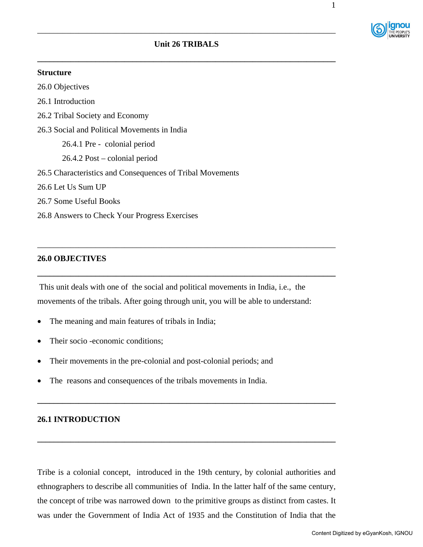

**\_\_\_\_\_\_\_\_\_\_\_\_\_\_\_\_\_\_\_\_\_\_\_\_\_\_\_\_\_\_\_\_\_\_\_\_\_\_\_\_\_\_\_\_\_\_\_\_\_\_\_\_\_\_\_\_\_\_\_\_\_\_\_\_\_\_\_\_\_\_\_\_** 

\_\_\_\_\_\_\_\_\_\_\_\_\_\_\_\_\_\_\_\_\_\_\_\_\_\_\_\_\_\_\_\_\_\_\_\_\_\_\_\_\_\_\_\_\_\_\_\_\_\_\_\_\_\_\_\_\_\_\_\_\_\_\_\_\_\_\_\_\_\_\_\_

#### **Structure**

26.0 Objectives

26.1 Introduction

26.2 Tribal Society and Economy

26.3 Social and Political Movements in India

26.4.1 Pre - colonial period

26.4.2 Post – colonial period

26.5 Characteristics and Consequences of Tribal Movements

26.6 Let Us Sum UP

26.7 Some Useful Books

26.8 Answers to Check Your Progress Exercises

## **26.0 OBJECTIVES**

This unit deals with one of the social and political movements in India, i.e., the movements of the tribals. After going through unit, you will be able to understand:

\_\_\_\_\_\_\_\_\_\_\_\_\_\_\_\_\_\_\_\_\_\_\_\_\_\_\_\_\_\_\_\_\_\_\_\_\_\_\_\_\_\_\_\_\_\_\_\_\_\_\_\_\_\_\_\_\_\_\_\_\_\_\_\_\_\_\_\_\_\_\_\_

**\_\_\_\_\_\_\_\_\_\_\_\_\_\_\_\_\_\_\_\_\_\_\_\_\_\_\_\_\_\_\_\_\_\_\_\_\_\_\_\_\_\_\_\_\_\_\_\_\_\_\_\_\_\_\_\_\_\_\_\_\_\_\_\_\_\_\_\_\_\_\_\_** 

- The meaning and main features of tribals in India;
- Their socio -economic conditions:
- Their movements in the pre-colonial and post-colonial periods; and
- The reasons and consequences of the tribals movements in India.

## **26.1 INTRODUCTION**

Tribe is a colonial concept, introduced in the 19th century, by colonial authorities and ethnographers to describe all communities of India. In the latter half of the same century, the concept of tribe was narrowed down to the primitive groups as distinct from castes. It was under the Government of India Act of 1935 and the Constitution of India that the

**\_\_\_\_\_\_\_\_\_\_\_\_\_\_\_\_\_\_\_\_\_\_\_\_\_\_\_\_\_\_\_\_\_\_\_\_\_\_\_\_\_\_\_\_\_\_\_\_\_\_\_\_\_\_\_\_\_\_\_\_\_\_\_\_\_\_\_\_\_\_\_\_** 

**\_\_\_\_\_\_\_\_\_\_\_\_\_\_\_\_\_\_\_\_\_\_\_\_\_\_\_\_\_\_\_\_\_\_\_\_\_\_\_\_\_\_\_\_\_\_\_\_\_\_\_\_\_\_\_\_\_\_\_\_\_\_\_\_\_\_\_\_\_\_\_\_**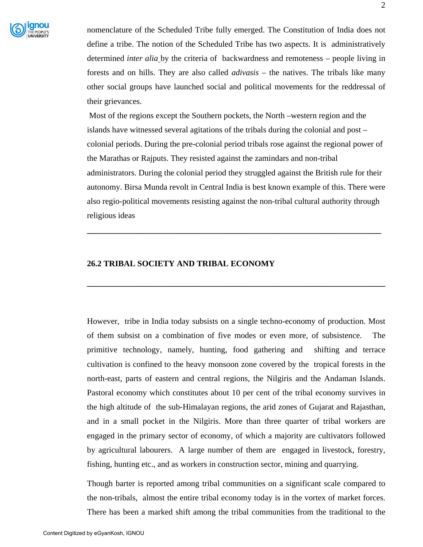

nomenclature of the Scheduled Tribe fully emerged. The Constitution of India does not define a tribe. The notion of the Scheduled Tribe has two aspects. It is administratively determined *inter alia* by the criteria of backwardness and remoteness – people living in forests and on hills. They are also called *adivasis* – the natives. The tribals like many other social groups have launched social and political movements for the reddressal of their grievances.

Most of the regions except the Southern pockets, the North –western region and the islands have witnessed several agitations of the tribals during the colonial and post – colonial periods. During the pre-colonial period tribals rose against the regional power of the Marathas or Rajputs. They resisted against the zamindars and non-tribal administrators. During the colonial period they struggled against the British rule for their autonomy. Birsa Munda revolt in Central India is best known example of this. There were also regio-political movements resisting against the non-tribal cultural authority through religious ideas

**\_\_\_\_\_\_\_\_\_\_\_\_\_\_\_\_\_\_\_\_\_\_\_\_\_\_\_\_\_\_\_\_\_\_\_\_\_\_\_\_\_\_\_\_\_\_\_\_\_\_\_\_\_\_\_\_\_\_\_\_\_\_\_\_\_\_\_\_\_\_\_**

**\_\_\_\_\_\_\_\_\_\_\_\_\_\_\_\_\_\_\_\_\_\_\_\_\_\_\_\_\_\_\_\_\_\_\_\_\_\_\_\_\_\_\_\_\_\_\_\_\_\_\_\_\_\_\_\_\_\_\_\_\_\_\_\_\_\_\_\_\_\_\_\_** 

#### **26.2 TRIBAL SOCIETY AND TRIBAL ECONOMY**

However, tribe in India today subsists on a single techno-economy of production. Most of them subsist on a combination of five modes or even more, of subsistence. The primitive technology, namely, hunting, food gathering and shifting and terrace cultivation is confined to the heavy monsoon zone covered by the tropical forests in the north-east, parts of eastern and central regions, the Nilgiris and the Andaman Islands. Pastoral economy which constitutes about 10 per cent of the tribal economy survives in the high altitude of the sub-Himalayan regions, the arid zones of Gujarat and Rajasthan, and in a small pocket in the Nilgiris. More than three quarter of tribal workers are engaged in the primary sector of economy, of which a majority are cultivators followed by agricultural labourers. A large number of them are engaged in livestock, forestry, fishing, hunting etc., and as workers in construction sector, mining and quarrying.

Though barter is reported among tribal communities on a significant scale compared to the non-tribals, almost the entire tribal economy today is in the vortex of market forces. There has been a marked shift among the tribal communities from the traditional to the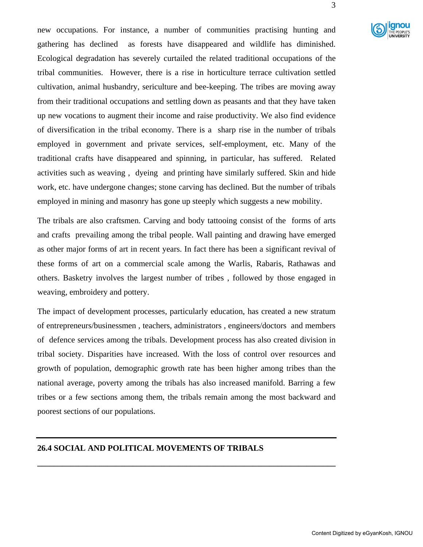

new occupations. For instance, a number of communities practising hunting and gathering has declined as forests have disappeared and wildlife has diminished. Ecological degradation has severely curtailed the related traditional occupations of the tribal communities. However, there is a rise in horticulture terrace cultivation settled cultivation, animal husbandry, sericulture and bee-keeping. The tribes are moving away from their traditional occupations and settling down as peasants and that they have taken up new vocations to augment their income and raise productivity. We also find evidence of diversification in the tribal economy. There is a sharp rise in the number of tribals employed in government and private services, self-employment, etc. Many of the traditional crafts have disappeared and spinning, in particular, has suffered. Related activities such as weaving , dyeing and printing have similarly suffered. Skin and hide work, etc. have undergone changes; stone carving has declined. But the number of tribals employed in mining and masonry has gone up steeply which suggests a new mobility.

The tribals are also craftsmen. Carving and body tattooing consist of the forms of arts and crafts prevailing among the tribal people. Wall painting and drawing have emerged as other major forms of art in recent years. In fact there has been a significant revival of these forms of art on a commercial scale among the Warlis, Rabaris, Rathawas and others. Basketry involves the largest number of tribes , followed by those engaged in weaving, embroidery and pottery.

The impact of development processes, particularly education, has created a new stratum of entrepreneurs/businessmen , teachers, administrators , engineers/doctors and members of defence services among the tribals. Development process has also created division in tribal society. Disparities have increased. With the loss of control over resources and growth of population, demographic growth rate has been higher among tribes than the national average, poverty among the tribals has also increased manifold. Barring a few tribes or a few sections among them, the tribals remain among the most backward and poorest sections of our populations.

**\_\_\_\_\_\_\_\_\_\_\_\_\_\_\_\_\_\_\_\_\_\_\_\_\_\_\_\_\_\_\_\_\_\_\_\_\_\_\_\_\_\_\_\_\_\_\_\_\_\_\_\_\_\_\_\_\_\_\_\_\_\_\_\_\_\_\_\_\_\_\_\_** 

## **26.4 SOCIAL AND POLITICAL MOVEMENTS OF TRIBALS**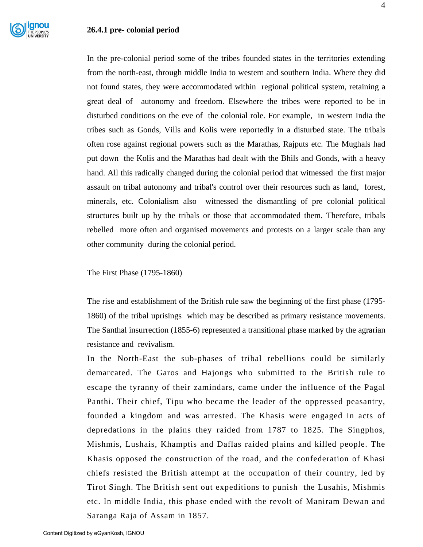In the pre-colonial period some of the tribes founded states in the territories extending from the north-east, through middle India to western and southern India. Where they did not found states, they were accommodated within regional political system, retaining a great deal of autonomy and freedom. Elsewhere the tribes were reported to be in disturbed conditions on the eve of the colonial role. For example, in western India the tribes such as Gonds, Vills and Kolis were reportedly in a disturbed state. The tribals often rose against regional powers such as the Marathas, Rajputs etc. The Mughals had put down the Kolis and the Marathas had dealt with the Bhils and Gonds, with a heavy hand. All this radically changed during the colonial period that witnessed the first major assault on tribal autonomy and tribal's control over their resources such as land, forest, minerals, etc. Colonialism also witnessed the dismantling of pre colonial political structures built up by the tribals or those that accommodated them. Therefore, tribals rebelled more often and organised movements and protests on a larger scale than any other community during the colonial period.

The First Phase (1795-1860)

The rise and establishment of the British rule saw the beginning of the first phase (1795- 1860) of the tribal uprisings which may be described as primary resistance movements. The Santhal insurrection (1855-6) represented a transitional phase marked by the agrarian resistance and revivalism.

In the North-East the sub-phases of tribal rebellions could be similarly demarcated. The Garos and Hajongs who submitted to the British rule to escape the tyranny of their zamindars, came under the influence of the Pagal Panthi. Their chief, Tipu who became the leader of the oppressed peasantry, founded a kingdom and was arrested. The Khasis were engaged in acts of depredations in the plains they raided from 1787 to 1825. The Singphos, Mishmis, Lushais, Khamptis and Daflas raided plains and killed people. The Khasis opposed the construction of the road, and the confederation of Khasi chiefs resisted the British attempt at the occupation of their country, led by Tirot Singh. The British sent out expeditions to punish the Lusahis, Mishmis etc. In middle India, this phase ended with the revolt of Maniram Dewan and Saranga Raja of Assam in 1857.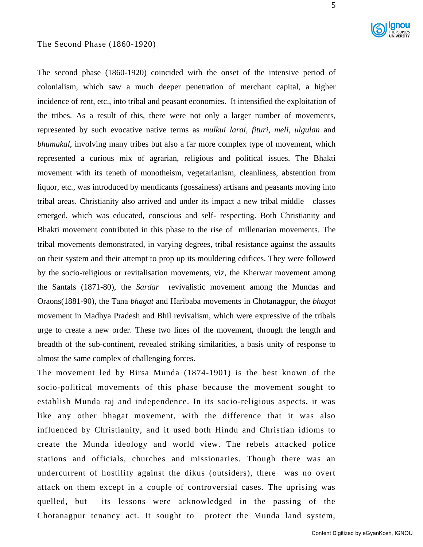#### The Second Phase (1860-1920)

The second phase (1860-1920) coincided with the onset of the intensive period of colonialism, which saw a much deeper penetration of merchant capital, a higher incidence of rent, etc., into tribal and peasant economies. It intensified the exploitation of the tribes. As a result of this, there were not only a larger number of movements, represented by such evocative native terms as *mulkui larai, fituri, meli, ulgulan* and *bhumakal*, involving many tribes but also a far more complex type of movement, which represented a curious mix of agrarian, religious and political issues. The Bhakti movement with its teneth of monotheism, vegetarianism, cleanliness, abstention from liquor, etc., was introduced by mendicants (gossainess) artisans and peasants moving into tribal areas. Christianity also arrived and under its impact a new tribal middle classes emerged, which was educated, conscious and self- respecting. Both Christianity and Bhakti movement contributed in this phase to the rise of millenarian movements. The tribal movements demonstrated, in varying degrees, tribal resistance against the assaults on their system and their attempt to prop up its mouldering edifices. They were followed by the socio-religious or revitalisation movements, viz, the Kherwar movement among the Santals (1871-80), the *Sardar* revivalistic movement among the Mundas and Oraons(1881-90), the Tana *bhagat* and Haribaba movements in Chotanagpur, the *bhagat* movement in Madhya Pradesh and Bhil revivalism, which were expressive of the tribals urge to create a new order. These two lines of the movement, through the length and breadth of the sub-continent, revealed striking similarities, a basis unity of response to almost the same complex of challenging forces.

The movement led by Birsa Munda (1874-1901) is the best known of the socio-political movements of this phase because the movement sought to establish Munda raj and independence. In its socio-religious aspects, it was like any other bhagat movement, with the difference that it was also influenced by Christianity, and it used both Hindu and Christian idioms to create the Munda ideology and world view. The rebels attacked police stations and officials, churches and missionaries. Though there was an undercurrent of hostility against the dikus (outsiders), there was no overt attack on them except in a couple of controversial cases. The uprising was quelled, but its lessons were acknowledged in the passing of the Chotanagpur tenancy act. It sought to protect the Munda land system,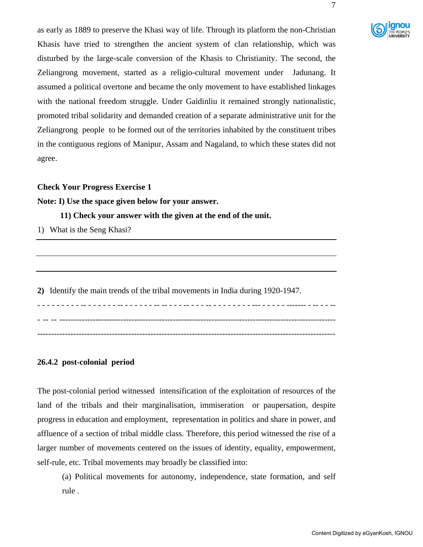

as early as 1889 to preserve the Khasi way of life. Through its platform the non-Christian Khasis have tried to strengthen the ancient system of clan relationship, which was disturbed by the large-scale conversion of the Khasis to Christianity. The second, the Zeliangrong movement, started as a religio-cultural movement under Jadunang. It assumed a political overtone and became the only movement to have established linkages with the national freedom struggle. Under Gaidinliu it remained strongly nationalistic, promoted tribal solidarity and demanded creation of a separate administrative unit for the Zeliangrong people to be formed out of the territories inhabited by the constituent tribes in the contiguous regions of Manipur, Assam and Nagaland, to which these states did not agree.

#### **Check Your Progress Exercise 1**

**Note: I) Use the space given below for your answer.** 

 **11) Check your answer with the given at the end of the unit.** 

1) What is the Seng Khasi?

**2)** Identify the main trends of the tribal movements in India during 1920-1947.

- - - - - - - - - -- - - - - - - -- - - - - - - -- -- - - - -- - - - -- - - - - - - - - --- - - - - - ------- - -- - - -- - -- -- ---------------------------------------------------------------------------------------------------- ------------------------------------------------------------------------------------------------------------

## **26.4.2 post-colonial period**

The post-colonial period witnessed intensification of the exploitation of resources of the land of the tribals and their marginalisation, immiseration or paupersation, despite progress in education and employment, representation in politics and share in power, and affluence of a section of tribal middle class. Therefore, this period witnessed the rise of a larger number of movements centered on the issues of identity, equality, empowerment, self-rule, etc. Tribal movements may broadly be classified into:

(a) Political movements for autonomy, independence, state formation, and self rule .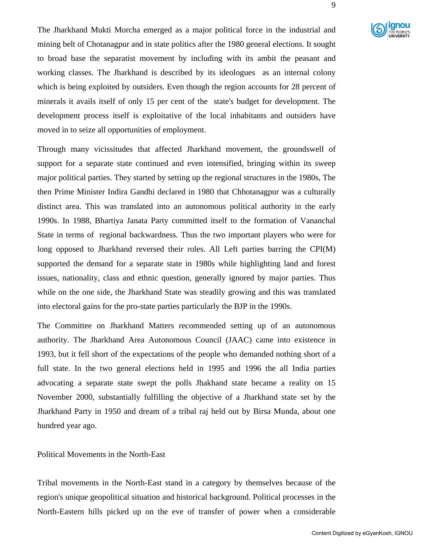

The Jharkhand Mukti Morcha emerged as a major political force in the industrial and mining belt of Chotanagpur and in state politics after the 1980 general elections. It sought to broad base the separatist movement by including with its ambit the peasant and working classes. The Jharkhand is described by its ideologues as an internal colony which is being exploited by outsiders. Even though the region accounts for 28 percent of minerals it avails itself of only 15 per cent of the state's budget for development. The development process itself is exploitative of the local inhabitants and outsiders have moved in to seize all opportunities of employment.

Through many vicissitudes that affected Jharkhand movement, the groundswell of support for a separate state continued and even intensified, bringing within its sweep major political parties. They started by setting up the regional structures in the 1980s, The then Prime Minister Indira Gandhi declared in 1980 that Chhotanagpur was a culturally distinct area. This was translated into an autonomous political authority in the early 1990s. In 1988, Bhartiya Janata Party committed itself to the formation of Vananchal State in terms of regional backwardness. Thus the two important players who were for long opposed to Jharkhand reversed their roles. All Left parties barring the CPI(M) supported the demand for a separate state in 1980s while highlighting land and forest issues, nationality, class and ethnic question, generally ignored by major parties. Thus while on the one side, the Jharkhand State was steadily growing and this was translated into electoral gains for the pro-state parties particularly the BJP in the 1990s.

The Committee on Jharkhand Matters recommended setting up of an autonomous authority. The Jharkhand Area Autonomous Council (JAAC) came into existence in 1993, but it fell short of the expectations of the people who demanded nothing short of a full state. In the two general elections held in 1995 and 1996 the all India parties advocating a separate state swept the polls Jhakhand state became a reality on 15 November 2000, substantially fulfilling the objective of a Jharkhand state set by the Jharkhand Party in 1950 and dream of a tribal raj held out by Birsa Munda, about one hundred year ago.

Political Movements in the North-East

Tribal movements in the North-East stand in a category by themselves because of the region's unique geopolitical situation and historical background. Political processes in the North-Eastern hills picked up on the eve of transfer of power when a considerable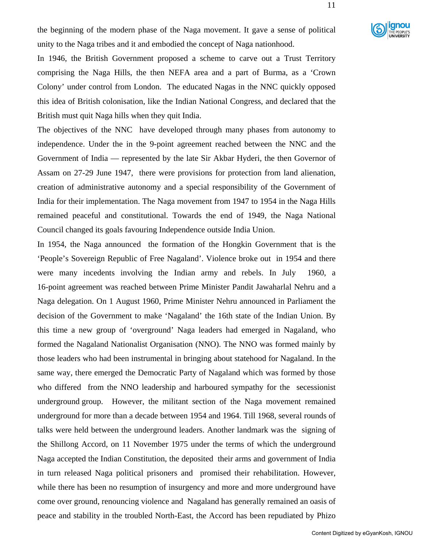

the beginning of the modern phase of the Naga movement. It gave a sense of political unity to the Naga tribes and it and embodied the concept of Naga nationhood.

In 1946, the British Government proposed a scheme to carve out a Trust Territory comprising the Naga Hills, the then NEFA area and a part of Burma, as a 'Crown Colony' under control from London. The educated Nagas in the NNC quickly opposed this idea of British colonisation, like the Indian National Congress, and declared that the British must quit Naga hills when they quit India.

The objectives of the NNC have developed through many phases from autonomy to independence. Under the in the 9-point agreement reached between the NNC and the Government of India — represented by the late Sir Akbar Hyderi, the then Governor of Assam on 27-29 June 1947, there were provisions for protection from land alienation, creation of administrative autonomy and a special responsibility of the Government of India for their implementation. The Naga movement from 1947 to 1954 in the Naga Hills remained peaceful and constitutional. Towards the end of 1949, the Naga National Council changed its goals favouring Independence outside India Union.

In 1954, the Naga announced the formation of the Hongkin Government that is the 'People's Sovereign Republic of Free Nagaland'. Violence broke out in 1954 and there were many incedents involving the Indian army and rebels. In July 1960, a 16-point agreement was reached between Prime Minister Pandit Jawaharlal Nehru and a Naga delegation. On 1 August 1960, Prime Minister Nehru announced in Parliament the decision of the Government to make 'Nagaland' the 16th state of the Indian Union. By this time a new group of 'overground' Naga leaders had emerged in Nagaland, who formed the Nagaland Nationalist Organisation (NNO). The NNO was formed mainly by those leaders who had been instrumental in bringing about statehood for Nagaland. In the same way, there emerged the Democratic Party of Nagaland which was formed by those who differed from the NNO leadership and harboured sympathy for the secessionist underground group. However, the militant section of the Naga movement remained underground for more than a decade between 1954 and 1964. Till 1968, several rounds of talks were held between the underground leaders. Another landmark was the signing of the Shillong Accord, on 11 November 1975 under the terms of which the underground Naga accepted the Indian Constitution, the deposited their arms and government of India in turn released Naga political prisoners and promised their rehabilitation. However, while there has been no resumption of insurgency and more and more underground have come over ground, renouncing violence and Nagaland has generally remained an oasis of peace and stability in the troubled North-East, the Accord has been repudiated by Phizo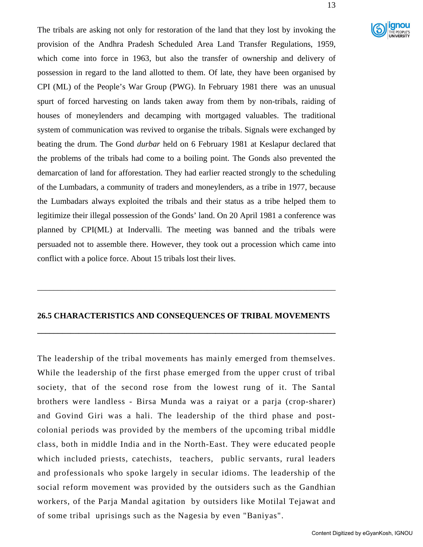

The tribals are asking not only for restoration of the land that they lost by invoking the provision of the Andhra Pradesh Scheduled Area Land Transfer Regulations, 1959, which come into force in 1963, but also the transfer of ownership and delivery of possession in regard to the land allotted to them. Of late, they have been organised by CPI (ML) of the People's War Group (PWG). In February 1981 there was an unusual spurt of forced harvesting on lands taken away from them by non-tribals, raiding of houses of moneylenders and decamping with mortgaged valuables. The traditional system of communication was revived to organise the tribals. Signals were exchanged by beating the drum. The Gond *durbar* held on 6 February 1981 at Keslapur declared that the problems of the tribals had come to a boiling point. The Gonds also prevented the demarcation of land for afforestation. They had earlier reacted strongly to the scheduling of the Lumbadars, a community of traders and moneylenders, as a tribe in 1977, because the Lumbadars always exploited the tribals and their status as a tribe helped them to legitimize their illegal possession of the Gonds' land. On 20 April 1981 a conference was planned by CPI(ML) at Indervalli. The meeting was banned and the tribals were persuaded not to assemble there. However, they took out a procession which came into conflict with a police force. About 15 tribals lost their lives.

### **26.5 CHARACTERISTICS AND CONSEQUENCES OF TRIBAL MOVEMENTS**

**\_\_\_\_\_\_\_\_\_\_\_\_\_\_\_\_\_\_\_\_\_\_\_\_\_\_\_\_\_\_\_\_\_\_\_\_\_\_\_\_\_\_\_\_\_\_\_\_\_\_\_\_\_\_\_\_\_\_\_\_\_\_\_\_\_\_\_\_\_\_\_\_** 

\_\_\_\_\_\_\_\_\_\_\_\_\_\_\_\_\_\_\_\_\_\_\_\_\_\_\_\_\_\_\_\_\_\_\_\_\_\_\_\_\_\_\_\_\_\_\_\_\_\_\_\_\_\_\_\_\_\_\_\_\_\_\_\_\_\_\_\_\_\_\_\_

The leadership of the tribal movements has mainly emerged from themselves. While the leadership of the first phase emerged from the upper crust of tribal society, that of the second rose from the lowest rung of it. The Santal brothers were landless - Birsa Munda was a raiyat or a parja (crop-sharer) and Govind Giri was a hali. The leadership of the third phase and postcolonial periods was provided by the members of the upcoming tribal middle class, both in middle India and in the North-East. They were educated people which included priests, catechists, teachers, public servants, rural leaders and professionals who spoke largely in secular idioms. The leadership of the social reform movement was provided by the outsiders such as the Gandhian workers, of the Parja Mandal agitation by outsiders like Motilal Tejawat and of some tribal uprisings such as the Nagesia by even "Baniyas".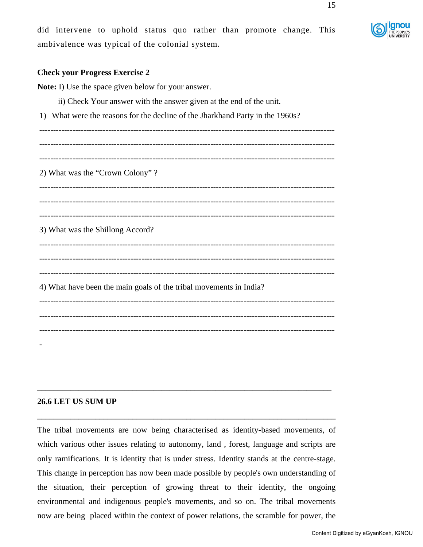# **Check your Progress Exercise 2**

**Note:** I) Use the space given below for your answer.

- ii) Check Your answer with the answer given at the end of the unit.
- 1) What were the reasons for the decline of the Jharkhand Party in the 1960s?

----------------------------------------------------------------------------------------------------------- ----------------------------------------------------------------------------------------------------------- ----------------------------------------------------------------------------------------------------------- 2) What was the "Crown Colony" ? ----------------------------------------------------------------------------------------------------------- ----------------------------------------------------------------------------------------------------------- ----------------------------------------------------------------------------------------------------------- 3) What was the Shillong Accord? ----------------------------------------------------------------------------------------------------------- ----------------------------------------------------------------------------------------------------------- 4) What have been the main goals of the tribal movements in India? ----------------------------------------------------------------------------------------------------------- ----------------------------------------------------------------------------------------------------------- ----------------------------------------------------------------------------------------------------------- -

# **26.6 LET US SUM UP**

The tribal movements are now being characterised as identity-based movements, of which various other issues relating to autonomy, land , forest, language and scripts are only ramifications. It is identity that is under stress. Identity stands at the centre-stage. This change in perception has now been made possible by people's own understanding of the situation, their perception of growing threat to their identity, the ongoing environmental and indigenous people's movements, and so on. The tribal movements now are being placed within the context of power relations, the scramble for power, the

\_\_\_\_\_\_\_\_\_\_\_\_\_\_\_\_\_\_\_\_\_\_\_\_\_\_\_\_\_\_\_\_\_\_\_\_\_\_\_\_\_\_\_\_\_\_\_\_\_\_\_\_\_\_\_\_\_\_\_\_\_\_\_\_\_\_\_\_\_\_\_

**\_\_\_\_\_\_\_\_\_\_\_\_\_\_\_\_\_\_\_\_\_\_\_\_\_\_\_\_\_\_\_\_\_\_\_\_\_\_\_\_\_\_\_\_\_\_\_\_\_\_\_\_\_\_\_\_\_\_\_\_\_\_\_\_\_\_\_\_\_\_\_\_**